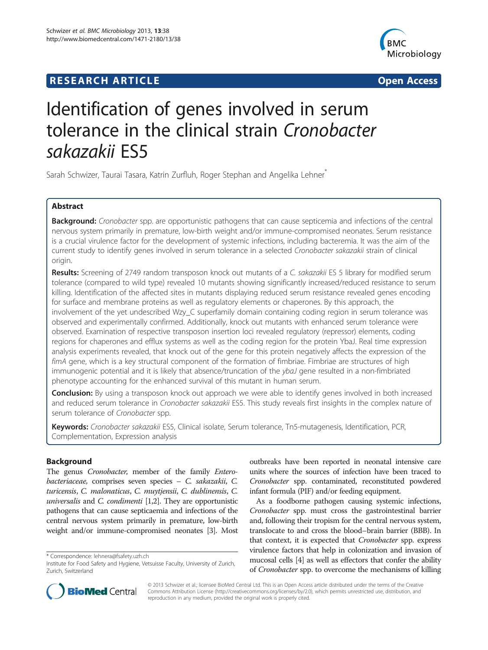# **RESEARCH ARTICLE Example 2008 CONSIDERING CONSIDERING CONSIDERING CONSIDERING CONSIDERING CONSIDERING CONSIDERING CONSIDERING CONSIDERING CONSIDERING CONSIDERING CONSIDERING CONSIDERING CONSIDERING CONSIDERING CONSIDE**



# Identification of genes involved in serum tolerance in the clinical strain Cronobacter sakazakii ES5

Sarah Schwizer, Taurai Tasara, Katrin Zurfluh, Roger Stephan and Angelika Lehner<sup>®</sup>

# Abstract

Background: Cronobacter spp. are opportunistic pathogens that can cause septicemia and infections of the central nervous system primarily in premature, low-birth weight and/or immune-compromised neonates. Serum resistance is a crucial virulence factor for the development of systemic infections, including bacteremia. It was the aim of the current study to identify genes involved in serum tolerance in a selected Cronobacter sakazakii strain of clinical origin.

Results: Screening of 2749 random transposon knock out mutants of a C. sakazakii ES 5 library for modified serum tolerance (compared to wild type) revealed 10 mutants showing significantly increased/reduced resistance to serum killing. Identification of the affected sites in mutants displaying reduced serum resistance revealed genes encoding for surface and membrane proteins as well as regulatory elements or chaperones. By this approach, the involvement of the yet undescribed Wzy\_C superfamily domain containing coding region in serum tolerance was observed and experimentally confirmed. Additionally, knock out mutants with enhanced serum tolerance were observed. Examination of respective transposon insertion loci revealed regulatory (repressor) elements, coding regions for chaperones and efflux systems as well as the coding region for the protein YbaJ. Real time expression analysis experiments revealed, that knock out of the gene for this protein negatively affects the expression of the fimA gene, which is a key structural component of the formation of fimbriae. Fimbriae are structures of high immunogenic potential and it is likely that absence/truncation of the ybaJ gene resulted in a non-fimbriated phenotype accounting for the enhanced survival of this mutant in human serum.

**Conclusion:** By using a transposon knock out approach we were able to identify genes involved in both increased and reduced serum tolerance in Cronobacter sakazakii ES5. This study reveals first insights in the complex nature of serum tolerance of Cronobacter spp.

Keywords: Cronobacter sakazakii ES5, Clinical isolate, Serum tolerance, Tn5-mutagenesis, Identification, PCR, Complementation, Expression analysis

# Background

The genus Cronobacter, member of the family Enterobacteriaceae, comprises seven species – C. sakazakii, C. turicensis, C. malonaticus, C. muytjensii, C. dublinensis, C. universalis and C. condimenti [\[1,2\]](#page-7-0). They are opportunistic pathogens that can cause septicaemia and infections of the central nervous system primarily in premature, low-birth weight and/or immune-compromised neonates [[3](#page-7-0)]. Most



As a foodborne pathogen causing systemic infections, Cronobacter spp. must cross the gastrointestinal barrier and, following their tropism for the central nervous system, translocate to and cross the blood–brain barrier (BBB). In that context, it is expected that Cronobacter spp. express virulence factors that help in colonization and invasion of mucosal cells [[4](#page-7-0)] as well as effectors that confer the ability of Cronobacter spp. to overcome the mechanisms of killing



© 2013 Schwizer et al.; licensee BioMed Central Ltd. This is an Open Access article distributed under the terms of the Creative Commons Attribution License [\(http://creativecommons.org/licenses/by/2.0\)](http://creativecommons.org/licenses/by/2.0), which permits unrestricted use, distribution, and reproduction in any medium, provided the original work is properly cited.

<sup>\*</sup> Correspondence: [lehnera@fsafety.uzh.ch](mailto:lehnera@fsafety.uzh.ch)

Institute for Food Safety and Hygiene, Vetsuisse Faculty, University of Zurich, Zurich, Switzerland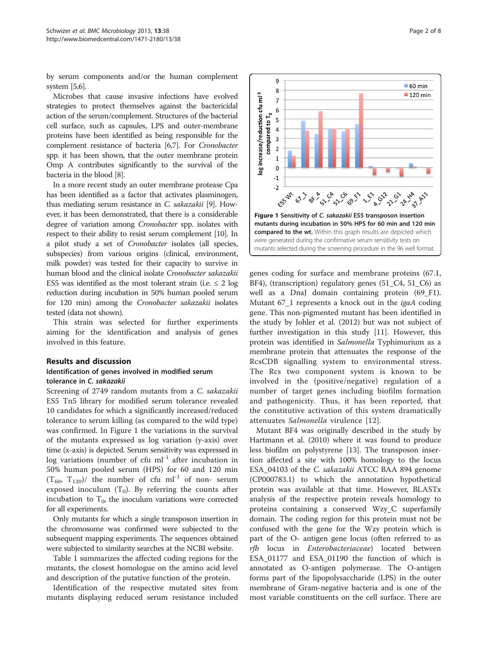by serum components and/or the human complement system [\[5,6\]](#page-7-0).

Microbes that cause invasive infections have evolved strategies to protect themselves against the bactericidal action of the serum/complement. Structures of the bacterial cell surface, such as capsules, LPS and outer-membrane proteins have been identified as being responsible for the complement resistance of bacteria [[6,7](#page-7-0)]. For Cronobacter spp. it has been shown, that the outer membrane protein Omp A contributes significantly to the survival of the bacteria in the blood [\[8\]](#page-7-0).

In a more recent study an outer membrane protease Cpa has been identified as a factor that activates plasminogen, thus mediating serum resistance in C. sakazakii [[9\]](#page-7-0). However, it has been demonstrated, that there is a considerable degree of variation among Cronobacter spp. isolates with respect to their ability to resist serum complement [\[10\]](#page-7-0). In a pilot study a set of Cronobacter isolates (all species, subspecies) from various origins (clinical, environment, milk powder) was tested for their capacity to survive in human blood and the clinical isolate Cronobacter sakazakii ES5 was identified as the most tolerant strain (i.e.  $\leq 2 \log$ ) reduction during incubation in 50% human pooled serum for 120 min) among the Cronobacter sakazakii isolates tested (data not shown).

This strain was selected for further experiments aiming for the identification and analysis of genes involved in this feature.

# Results and discussion Identification of genes involved in modified serum tolerance in C. sakazakii

Screening of 2749 random mutants from a C. sakazakii ES5 Tn5 library for modified serum tolerance revealed 10 candidates for which a significantly increased/reduced tolerance to serum killing (as compared to the wild type) was confirmed. In Figure 1 the variations in the survival of the mutants expressed as log variation (y-axis) over time (x-axis) is depicted. Serum sensitivity was expressed in log variations (number of cfu m $l^{-1}$  after incubation in 50% human pooled serum (HPS) for 60 and 120 min  $(T_{60}, T_{120})$  the number of cfu ml<sup>-1</sup> of non- serum exposed inoculum  $(T_0)$ . By referring the counts after incubation to  $T_0$ , the inoculum variations were corrected for all experiments.

Only mutants for which a single transposon insertion in the chromosome was confirmed were subjected to the subsequent mapping experiments. The sequences obtained were subjected to similarity searches at the NCBI website.

Table [1](#page-2-0) summarizes the affected coding regions for the mutants, the closest homologue on the amino acid level and description of the putative function of the protein.

Identification of the respective mutated sites from mutants displaying reduced serum resistance included



genes coding for surface and membrane proteins (67.1, BF4), (transcription) regulatory genes (51\_C4, 51\_C6) as well as a DnaJ domain containing protein (69\_F1). Mutant  $67_1$  represents a knock out in the *igaA* coding gene. This non-pigmented mutant has been identified in the study by Johler et al. (2012) but was not subject of further investigation in this study [[11\]](#page-7-0). However, this protein was identified in Salmonella Typhimurium as a membrane protein that attenuates the response of the RcsCDB signalling system to environmental stress. The Rcs two component system is known to be involved in the (positive/negative) regulation of a number of target genes including biofilm formation and pathogenicity. Thus, it has been reported, that the constitutive activation of this system dramatically attenuates Salmonella virulence [[12\]](#page-7-0).

Mutant BF4 was originally described in the study by Hartmann et al. (2010) where it was found to produce less biofilm on polystyrene [[13\]](#page-7-0). The transposon insertion affected a site with 100% homology to the locus ESA\_04103 of the *C. sakazakii* ATCC BAA 894 genome (CP000783.1) to which the annotation hypothetical protein was available at that time. However, BLASTx analysis of the respective protein reveals homology to proteins containing a conserved Wzy\_C superfamily domain. The coding region for this protein must not be confused with the gene for the Wzy protein which is part of the O- antigen gene locus (often referred to as rfb locus in Enterobacteriaceae) located between ESA\_01177 and ESA\_01190 the function of which is annotated as O-antigen polymerase. The O-antigen forms part of the lipopolysaccharide (LPS) in the outer membrane of Gram-negative bacteria and is one of the most variable constituents on the cell surface. There are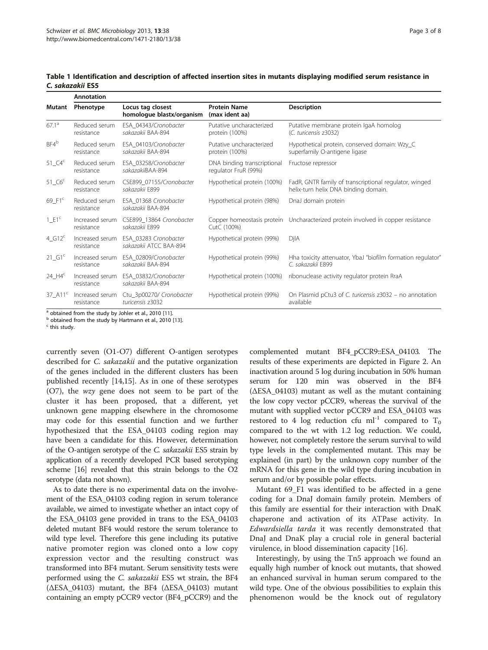|                                    | Annotation                    |                                                 |                                                     |                                                                                                |  |
|------------------------------------|-------------------------------|-------------------------------------------------|-----------------------------------------------------|------------------------------------------------------------------------------------------------|--|
| Mutant                             | Phenotype                     | Locus tag closest<br>homologue blastx/organism  | <b>Protein Name</b><br>(max ident aa)               | <b>Description</b>                                                                             |  |
| $67.1^a$                           | Reduced serum<br>resistance   | ESA 04343/Cronobacter<br>sakazakii BAA-894      | Putative uncharacterized<br>protein (100%)          | Putative membrane protein IgaA homolog<br>(C. turicensis z3032)                                |  |
| BF4 <sup>b</sup>                   | Reduced serum<br>resistance   | ESA_04103/Cronobacter<br>sakazakii BAA-894      | Putative uncharacterized<br>protein (100%)          | Hypothetical protein, conserved domain: Wzy_C<br>superfamily O-antigene ligase                 |  |
| $51_C4^c$                          | Reduced serum<br>resistance   | ESA 03258/Cronobacter<br>sakazakiiBAA-894       | DNA binding transcriptional<br>regulator FruR (99%) | Fructose repressor                                                                             |  |
| $51 \text{\_C6}^c$                 | Reduced serum<br>resistance   | CSE899_07155/Cronobacter<br>sakazakii F899      | Hypothetical protein (100%)                         | FadR, GNTR family of transcriptional regulator, winged<br>helix-turn helix DNA binding domain. |  |
| $69$ F1 $\textdegree$              | Reduced serum<br>resistance   | ESA_01368 Cronobacter<br>sakazakii BAA-894      | Hypothetical protein (98%)                          | DnaJ domain protein                                                                            |  |
| $1$ <sub><math>E1</math></sub> $c$ | Increased serum<br>resistance | CSE899_13864 Cronobacter<br>sakazakii E899      | CutC (100%)                                         | Copper homeostasis protein Uncharacterized protein involved in copper resistance               |  |
| 4 $G12^c$                          | Increased serum<br>resistance | ESA 03283 Cronobacter<br>sakazakii ATCC BAA-894 | Hypothetical protein (99%)                          | DjlA                                                                                           |  |
| $21_G1^c$                          | Increased serum<br>resistance | ESA 02809/Cronobacter<br>sakazakii BAA-894      | Hypothetical protein (99%)                          | Hha toxicity attenuator, YbaJ "biofilm formation regulator"<br>C. sakazakii F899               |  |
| $24_H4^c$                          | Increased serum<br>resistance | ESA 03832/Cronobacter<br>sakazakii BAA-894      | Hypothetical protein (100%)                         | ribonuclease activity regulator protein RraA                                                   |  |
| $37\_A11c$                         | Increased serum<br>resistance | Ctu 3p00270/ Cronobacter<br>turicensis z3032    | Hypothetical protein (99%)                          | On Plasmid pCtu3 of C. turicensis z3032 - no annotation<br>available                           |  |

<span id="page-2-0"></span>Table 1 Identification and description of affected insertion sites in mutants displaying modified serum resistance in C. sakazakii ES5

<sup>a</sup> obtained from the study by Johler et al., 2010 [[11\]](#page-7-0).<br><sup>b</sup> obtained from the study by Hartmann et al., 2010 [[13](#page-7-0)].<br><sup>c</sup> this study.

currently seven (O1-O7) different O-antigen serotypes described for C. sakazakii and the putative organization of the genes included in the different clusters has been published recently [[14](#page-7-0),[15](#page-7-0)]. As in one of these serotypes (O7), the wzy gene does not seem to be part of the cluster it has been proposed, that a different, yet unknown gene mapping elsewhere in the chromosome may code for this essential function and we further hypothesized that the ESA\_04103 coding region may have been a candidate for this. However, determination of the O-antigen serotype of the C. sakazakii ES5 strain by application of a recently developed PCR based serotyping scheme [[16](#page-7-0)] revealed that this strain belongs to the O2 serotype (data not shown).

As to date there is no experimental data on the involvement of the ESA\_04103 coding region in serum tolerance available, we aimed to investigate whether an intact copy of the ESA\_04103 gene provided in trans to the ESA\_04103 deleted mutant BF4 would restore the serum tolerance to wild type level. Therefore this gene including its putative native promoter region was cloned onto a low copy expression vector and the resulting construct was transformed into BF4 mutant. Serum sensitivity tests were performed using the C. sakazakii ES5 wt strain, the BF4 (ΔESA\_04103) mutant, the BF4 (ΔESA\_04103) mutant containing an empty pCCR9 vector (BF4\_pCCR9) and the

complemented mutant BF4\_pCCR9::ESA\_04103. The results of these experiments are depicted in Figure [2.](#page-3-0) An inactivation around 5 log during incubation in 50% human serum for 120 min was observed in the BF4 (ΔESA\_04103) mutant as well as the mutant containing the low copy vector pCCR9, whereas the survival of the mutant with supplied vector pCCR9 and ESA\_04103 was restored to 4 log reduction cfu ml<sup>-1</sup> compared to  $T_0$ compared to the wt with 1.2 log reduction. We could, however, not completely restore the serum survival to wild type levels in the complemented mutant. This may be explained (in part) by the unknown copy number of the mRNA for this gene in the wild type during incubation in serum and/or by possible polar effects.

Mutant 69\_F1 was identified to be affected in a gene coding for a DnaJ domain family protein. Members of this family are essential for their interaction with DnaK chaperone and activation of its ATPase activity. In Edwardsiella tarda it was recently demonstrated that DnaJ and DnaK play a crucial role in general bacterial virulence, in blood dissemination capacity [[16](#page-7-0)].

Interestingly, by using the Tn5 approach we found an equally high number of knock out mutants, that showed an enhanced survival in human serum compared to the wild type. One of the obvious possibilities to explain this phenomenon would be the knock out of regulatory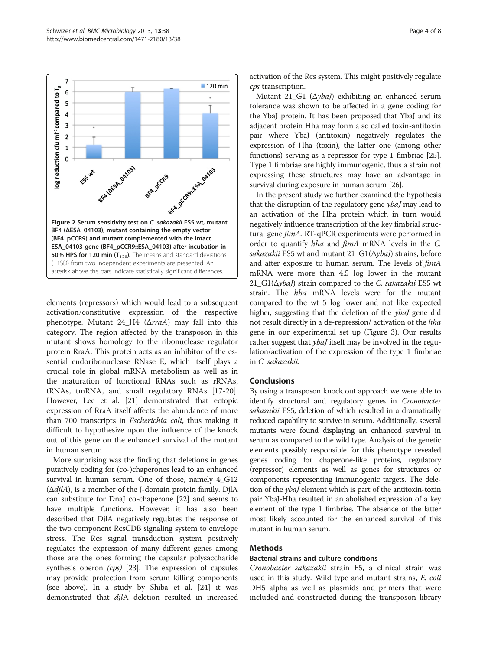<span id="page-3-0"></span>

elements (repressors) which would lead to a subsequent activation/constitutive expression of the respective phenotype. Mutant 24\_H4 ( $\triangle$ rraA) may fall into this category. The region affected by the transposon in this mutant shows homology to the ribonuclease regulator protein RraA. This protein acts as an inhibitor of the essential endoribonuclease RNase E, which itself plays a crucial role in global mRNA metabolism as well as in the maturation of functional RNAs such as rRNAs, tRNAs, tmRNA, and small regulatory RNAs [\[17-20](#page-7-0)]. However, Lee et al. [[21\]](#page-7-0) demonstrated that ectopic expression of RraA itself affects the abundance of more than 700 transcripts in Escherichia coli, thus making it difficult to hypothesize upon the influence of the knock out of this gene on the enhanced survival of the mutant in human serum.

More surprising was the finding that deletions in genes putatively coding for (co-)chaperones lead to an enhanced survival in human serum. One of those, namely 4\_G12  $(\Delta di | A)$ , is a member of the J-domain protein family. DjlA can substitute for DnaJ co-chaperone [\[22](#page-7-0)] and seems to have multiple functions. However, it has also been described that DjlA negatively regulates the response of the two component RcsCDB signaling system to envelope stress. The Rcs signal transduction system positively regulates the expression of many different genes among those are the ones forming the capsular polysaccharide synthesis operon *(cps)* [[23\]](#page-7-0). The expression of capsules may provide protection from serum killing components (see above). In a study by Shiba et al. [\[24\]](#page-7-0) it was demonstrated that djlA deletion resulted in increased

activation of the Rcs system. This might positively regulate cps transcription.

Mutant 21\_G1 (ΔybaJ) exhibiting an enhanced serum tolerance was shown to be affected in a gene coding for the YbaJ protein. It has been proposed that YbaJ and its adjacent protein Hha may form a so called toxin-antitoxin pair where YbaJ (antitoxin) negatively regulates the expression of Hha (toxin), the latter one (among other functions) serving as a repressor for type 1 fimbriae [[25](#page-7-0)]. Type 1 fimbriae are highly immunogenic, thus a strain not expressing these structures may have an advantage in survival during exposure in human serum [[26](#page-7-0)].

In the present study we further examined the hypothesis that the disruption of the regulatory gene ybaJ may lead to an activation of the Hha protein which in turn would negatively influence transcription of the key fimbrial structural gene fimA. RT-qPCR experiments were performed in order to quantify hha and fimA mRNA levels in the C. sakazakii ES5 wt and mutant  $21_G1(\Delta yba)$  strains, before and after exposure to human serum. The levels of fimA mRNA were more than 4.5 log lower in the mutant 21\_G1( $\Delta y$ baJ) strain compared to the C. sakazakii ES5 wt strain. The hha mRNA levels were for the mutant compared to the wt 5 log lower and not like expected higher, suggesting that the deletion of the *ybaJ* gene did not result directly in a de-repression/ activation of the hha gene in our experimental set up (Figure [3](#page-4-0)). Our results rather suggest that  $ybaJ$  itself may be involved in the regulation/activation of the expression of the type 1 fimbriae in C. sakazakii.

#### Conclusions

By using a transposon knock out approach we were able to identify structural and regulatory genes in Cronobacter sakazakii ES5, deletion of which resulted in a dramatically reduced capability to survive in serum. Additionally, several mutants were found displaying an enhanced survival in serum as compared to the wild type. Analysis of the genetic elements possibly responsible for this phenotype revealed genes coding for chaperone-like proteins, regulatory (repressor) elements as well as genes for structures or components representing immunogenic targets. The deletion of the *ybaJ* element which is part of the antitoxin-toxin pair YbaJ-Hha resulted in an abolished expression of a key element of the type 1 fimbriae. The absence of the latter most likely accounted for the enhanced survival of this mutant in human serum.

#### Methods

### Bacterial strains and culture conditions

Cronobacter sakazakii strain E5, a clinical strain was used in this study. Wild type and mutant strains, E. coli DH5 alpha as well as plasmids and primers that were included and constructed during the transposon library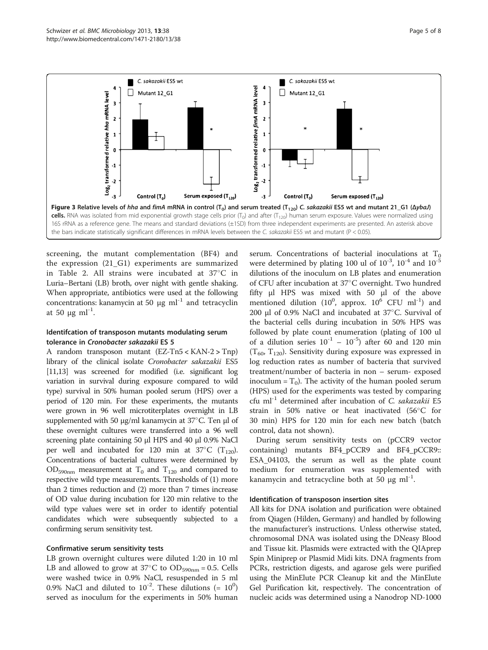<span id="page-4-0"></span>

screening, the mutant complementation (BF4) and the expression (21\_G1) experiments are summarized in Table [2.](#page-5-0) All strains were incubated at  $37^{\circ}$ C in Luria–Bertani (LB) broth, over night with gentle shaking. When appropriate, antibiotics were used at the following concentrations: kanamycin at 50  $\mu$ g ml<sup>-1</sup> and tetracyclin at 50  $\mu$ g ml<sup>-1</sup>.

## Identifcation of transposon mutants modulating serum tolerance in Cronobacter sakazakii ES 5

A random transposon mutant (EZ-Tn5 < KAN-2 > Tnp) library of the clinical isolate Cronobacter sakazakii ES5 [[11,13\]](#page-7-0) was screened for modified (i.e. significant log variation in survival during exposure compared to wild type) survival in 50% human pooled serum (HPS) over a period of 120 min. For these experiments, the mutants were grown in 96 well microtiterplates overnight in LB supplemented with 50 μg/ml kanamycin at  $37^{\circ}$ C. Ten μl of these overnight cultures were transferred into a 96 well screening plate containing 50 μl HPS and 40 μl 0.9% NaCl per well and incubated for 120 min at 37°C ( $T_{120}$ ). Concentrations of bacterial cultures were determined by  $OD_{590nm}$  measurement at T<sub>0</sub> and T<sub>120</sub> and compared to respective wild type measurements. Thresholds of (1) more than 2 times reduction and (2) more than 7 times increase of OD value during incubation for 120 min relative to the wild type values were set in order to identify potential candidates which were subsequently subjected to a confirming serum sensitivity test.

#### Confirmative serum sensitivity tests

LB grown overnight cultures were diluted 1:20 in 10 ml LB and allowed to grow at  $37^{\circ}$ C to  $OD_{590nm} = 0.5$ . Cells were washed twice in 0.9% NaCl, resuspended in 5 ml 0.9% NaCl and diluted to  $10^{-2}$ . These dilutions (=  $10^{0}$ ) served as inoculum for the experiments in 50% human

serum. Concentrations of bacterial inoculations at  $T_0$ were determined by plating 100 ul of  $10^{-3}$ ,  $10^{-4}$  and  $10^{-5}$ dilutions of the inoculum on LB plates and enumeration of CFU after incubation at 37°C overnight. Two hundred fifty μl HPS was mixed with 50 μl of the above mentioned dilution ( $10^0$ , approx.  $10^6$  CFU ml<sup>-1</sup>) and 200 μl of 0.9% NaCl and incubated at 37°C. Survival of the bacterial cells during incubation in 50% HPS was followed by plate count enumeration (plating of 100 ul of a dilution series  $10^{-1}$  –  $10^{-5}$ ) after 60 and 120 min  $(T_{60}, T_{120})$ . Sensitivity during exposure was expressed in log reduction rates as number of bacteria that survived treatment/number of bacteria in non – serum- exposed inoculum =  $T_0$ ). The activity of the human pooled serum (HPS) used for the experiments was tested by comparing cfu ml<sup>-1</sup> determined after incubation of C. sakazakii E5 strain in 50% native or heat inactivated (56 $\rm ^{\circ}C$  for 30 min) HPS for 120 min for each new batch (batch control, data not shown).

During serum sensitivity tests on (pCCR9 vector containing) mutants BF4\_pCCR9 and BF4\_pCCR9:: ESA\_04103, the serum as well as the plate count medium for enumeration was supplemented with kanamycin and tetracycline both at 50  $\mu$ g ml<sup>-1</sup>.

#### Identification of transposon insertion sites

All kits for DNA isolation and purification were obtained from Qiagen (Hilden, Germany) and handled by following the manufacturer's instructions. Unless otherwise stated, chromosomal DNA was isolated using the DNeasy Blood and Tissue kit. Plasmids were extracted with the QIAprep Spin Miniprep or Plasmid Midi kits. DNA fragments from PCRs, restriction digests, and agarose gels were purified using the MinElute PCR Cleanup kit and the MinElute Gel Purification kit, respectively. The concentration of nucleic acids was determined using a Nanodrop ND-1000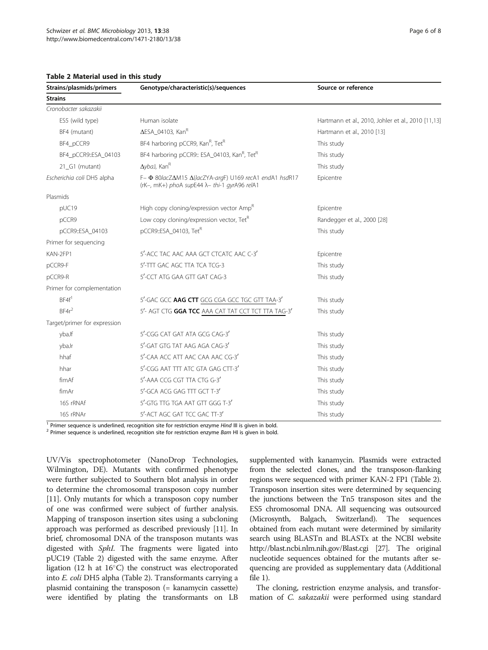| Strains/plasmids/primers     | Genotype/characteristic(s)/sequences                                                                                                    | Source or reference                                |
|------------------------------|-----------------------------------------------------------------------------------------------------------------------------------------|----------------------------------------------------|
| <b>Strains</b>               |                                                                                                                                         |                                                    |
| Cronobacter sakazakii        |                                                                                                                                         |                                                    |
| ES5 (wild type)              | Human isolate                                                                                                                           | Hartmann et al., 2010, Johler et al., 2010 [11,13] |
| BF4 (mutant)                 | $\Delta$ ESA 04103, Kan $^R$                                                                                                            | Hartmann et al., 2010 [13]                         |
| BF4_pCCR9                    | BF4 harboring pCCR9, Kan <sup>R</sup> , Tet <sup>R</sup>                                                                                | This study                                         |
| BF4_pCCR9::ESA_04103         | BF4 harboring pCCR9:: ESA_04103, Kan <sup>R</sup> , Tet <sup>R</sup>                                                                    | This study                                         |
| 21_G1 (mutant)               | $\Delta y$ baJ, Kan $^R$                                                                                                                | This study                                         |
| Escherichia coli DH5 alpha   | F- $\Phi$ 80lacZ $\Delta$ M15 $\Delta$ (lacZYA-argF) U169 recA1 endA1 hsdR17<br>$(rK-, mK+)$ phoA supE44 $\lambda$ - thi-1 gyrA96 relA1 | Epicentre                                          |
| Plasmids                     |                                                                                                                                         |                                                    |
| pUC19                        | High copy cloning/expression vector Amp <sup>R</sup>                                                                                    | Epicentre                                          |
| pCCR9                        | Low copy cloning/expression vector, Tet <sup>R</sup>                                                                                    | Randegger et al., 2000 [28]                        |
| pCCR9::ESA_04103             | pCCR9::ESA_04103, Tet <sup>R</sup>                                                                                                      | This study                                         |
| Primer for sequencing        |                                                                                                                                         |                                                    |
| KAN-2FP1                     | 5'-ACC TAC AAC AAA GCT CTCATC AAC C-3'                                                                                                  | Epicentre                                          |
| pCCR9-F                      | 5'-TTT GAC AGC TTA TCA TCG-3                                                                                                            | This study                                         |
| pCCR9-R                      | 5'-CCT ATG GAA GTT GAT CAG-3                                                                                                            | This study                                         |
| Primer for complementation   |                                                                                                                                         |                                                    |
| BF4f <sup>1</sup>            | 5'-GAC GCC AAG CTT GCG CGA GCC TGC GTT TAA-3'                                                                                           | This study                                         |
| $BF4r^2$                     | 5'- AGT CTG GGA TCC AAA CAT TAT CCT TCT TTA TAG-3'                                                                                      | This study                                         |
| Target/primer for expression |                                                                                                                                         |                                                    |
| ybaJf                        | 5'-CGG CAT GAT ATA GCG CAG-3'                                                                                                           | This study                                         |
| ybaJr                        | 5'-GAT GTG TAT AAG AGA CAG-3'                                                                                                           | This study                                         |
| hhaf                         | 5'-CAA ACC ATT AAC CAA AAC CG-3'                                                                                                        | This study                                         |
| hhar                         | 5'-CGG AAT TTT ATC GTA GAG CTT-3'                                                                                                       | This study                                         |
| fimAf                        | 5'-AAA CCG CGT TTA CTG G-3'                                                                                                             | This study                                         |
| fimAr                        | 5'-GCA ACG GAG TTT GCT T-3'                                                                                                             | This study                                         |
| 16S rRNAf                    | 5'-GTG TTG TGA AAT GTT GGG T-3'                                                                                                         | This study                                         |
| 16S rRNAr                    | 5'-ACT AGC GAT TCC GAC TT-3'                                                                                                            | This study                                         |

#### <span id="page-5-0"></span>Table 2 Material used in this study

<sup>1</sup> Primer sequence is underlined, recognition site for restriction enzyme Hind III is given in bold. <sup>2</sup> Primer sequence is underlined, recognition site for restriction enzyme Bam HI is given in bold.

UV/Vis spectrophotometer (NanoDrop Technologies, Wilmington, DE). Mutants with confirmed phenotype were further subjected to Southern blot analysis in order to determine the chromosomal transposon copy number [[11](#page-7-0)]. Only mutants for which a transposon copy number of one was confirmed were subject of further analysis. Mapping of transposon insertion sites using a subcloning approach was performed as described previously [\[11\]](#page-7-0). In brief, chromosomal DNA of the transposon mutants was digested with SphI. The fragments were ligated into pUC19 (Table 2) digested with the same enzyme. After ligation (12 h at  $16^{\circ}$ C) the construct was electroporated into E. coli DH5 alpha (Table 2). Transformants carrying a plasmid containing the transposon (= kanamycin cassette) were identified by plating the transformants on LB supplemented with kanamycin. Plasmids were extracted from the selected clones, and the transposon-flanking regions were sequenced with primer KAN-2 FP1 (Table 2). Transposon insertion sites were determined by sequencing the junctions between the Tn5 transposon sites and the ES5 chromosomal DNA. All sequencing was outsourced (Microsynth, Balgach, Switzerland). The sequences obtained from each mutant were determined by similarity search using BLASTn and BLASTx at the NCBI website <http://blast.ncbi.nlm.nih.gov/Blast.cgi> [\[27\]](#page-7-0). The original nucleotide sequences obtained for the mutants after sequencing are provided as supplementary data (Additional file [1](#page-7-0)).

The cloning, restriction enzyme analysis, and transformation of C. sakazakii were performed using standard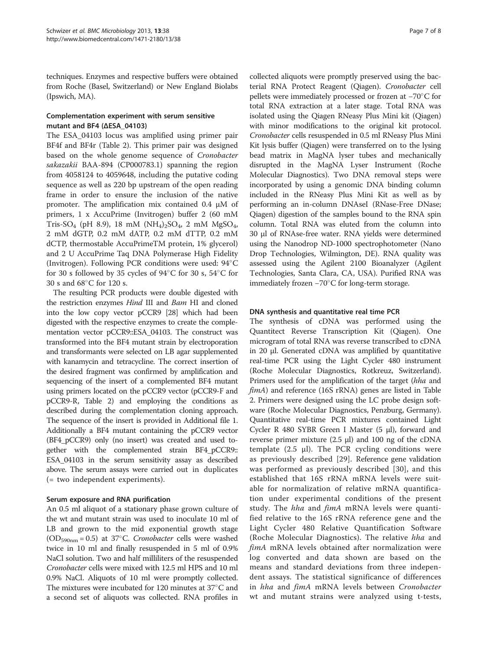techniques. Enzymes and respective buffers were obtained from Roche (Basel, Switzerland) or New England Biolabs (Ipswich, MA).

# Complementation experiment with serum sensitive mutant and BF4 (ΔESA\_04103)

The ESA\_04103 locus was amplified using primer pair BF4f and BF4r (Table 2). This primer pair was designed based on the whole genome sequence of Cronobacter sakazakii BAA-894 (CP000783.1) spanning the region from 4058124 to 4059648, including the putative coding sequence as well as 220 bp upstream of the open reading frame in order to ensure the inclusion of the native promoter. The amplification mix contained 0.4 μM of primers, 1 x AccuPrime (Invitrogen) buffer 2 (60 mM Tris-SO<sub>4</sub> (pH 8.9), 18 mM (NH<sub>4</sub>)<sub>2</sub>SO<sub>4</sub>, 2 mM MgSO<sub>4</sub>, 2 mM dGTP, 0.2 mM dATP, 0.2 mM dTTP, 0.2 mM dCTP, thermostable AccuPrimeTM protein, 1% glycerol) and 2 U AccuPrime Taq DNA Polymerase High Fidelity (Invitrogen). Following PCR conditions were used:  $94^{\circ}$ C for 30 s followed by 35 cycles of  $94^{\circ}$ C for 30 s,  $54^{\circ}$ C for 30 s and 68°C for 120 s.

The resulting PCR products were double digested with the restriction enzymes Hind III and Bam HI and cloned into the low copy vector pCCR9 [\[28\]](#page-7-0) which had been digested with the respective enzymes to create the complementation vector pCCR9::ESA\_04103. The construct was transformed into the BF4 mutant strain by electroporation and transformants were selected on LB agar supplemented with kanamycin and tetracycline. The correct insertion of the desired fragment was confirmed by amplification and sequencing of the insert of a complemented BF4 mutant using primers located on the pCCR9 vector (pCCR9-F and pCCR9-R, Table 2) and employing the conditions as described during the complementation cloning approach. The sequence of the insert is provided in Additional file [1](#page-7-0). Additionally a BF4 mutant containing the pCCR9 vector (BF4\_pCCR9) only (no insert) was created and used together with the complemented strain BF4\_pCCR9:: ESA\_04103 in the serum sensitivity assay as described above. The serum assays were carried out in duplicates (= two independent experiments).

# Serum exposure and RNA purification

An 0.5 ml aliquot of a stationary phase grown culture of the wt and mutant strain was used to inoculate 10 ml of LB and grown to the mid exponential growth stage  $(OD_{590nm} = 0.5)$  at 37°C. Cronobacter cells were washed twice in 10 ml and finally resuspended in 5 ml of 0.9% NaCl solution. Two and half milliliters of the resuspended Cronobacter cells were mixed with 12.5 ml HPS and 10 ml 0.9% NaCl. Aliquots of 10 ml were promptly collected. The mixtures were incubated for 120 minutes at  $37^{\circ}$ C and a second set of aliquots was collected. RNA profiles in

collected aliquots were promptly preserved using the bacterial RNA Protect Reagent (Qiagen). Cronobacter cell pellets were immediately processed or frozen at −70°C for total RNA extraction at a later stage. Total RNA was isolated using the Qiagen RNeasy Plus Mini kit (Qiagen) with minor modifications to the original kit protocol. Cronobacter cells resuspended in 0.5 ml RNeasy Plus Mini Kit lysis buffer (Qiagen) were transferred on to the lysing bead matrix in MagNA lyser tubes and mechanically disrupted in the MagNA Lyser Instrument (Roche Molecular Diagnostics). Two DNA removal steps were incorporated by using a genomic DNA binding column included in the RNeasy Plus Mini Kit as well as by performing an in-column DNAseI (RNase-Free DNase; Qiagen) digestion of the samples bound to the RNA spin column. Total RNA was eluted from the column into 30 μl of RNAse-free water. RNA yields were determined using the Nanodrop ND-1000 spectrophotometer (Nano Drop Technologies, Wilmington, DE). RNA quality was assessed using the Agilent 2100 Bioanalyzer (Agilent Technologies, Santa Clara, CA, USA). Purified RNA was immediately frozen  $-70^{\circ}$ C for long-term storage.

# DNA synthesis and quantitative real time PCR

The synthesis of cDNA was performed using the Quantitect Reverse Transcription Kit (Qiagen). One microgram of total RNA was reverse transcribed to cDNA in 20 μl. Generated cDNA was amplified by quantitative real-time PCR using the Light Cycler 480 instrument (Roche Molecular Diagnostics, Rotkreuz, Switzerland). Primers used for the amplification of the target (hha and fimA) and reference (16S rRNA) genes are listed in Table 2. Primers were designed using the LC probe design software (Roche Molecular Diagnostics, Penzburg, Germany). Quantitative real-time PCR mixtures contained Light Cycler R 480 SYBR Green I Master (5 μl), forward and reverse primer mixture (2.5 μl) and 100 ng of the cDNA template  $(2.5 \mu l)$ . The PCR cycling conditions were as previously described [\[29](#page-7-0)]. Reference gene validation was performed as previously described [[30](#page-7-0)], and this established that 16S rRNA mRNA levels were suitable for normalization of relative mRNA quantification under experimental conditions of the present study. The hha and fimA mRNA levels were quantified relative to the 16S rRNA reference gene and the Light Cycler 480 Relative Quantification Software (Roche Molecular Diagnostics). The relative hha and fimA mRNA levels obtained after normalization were log converted and data shown are based on the means and standard deviations from three independent assays. The statistical significance of differences in hha and fimA mRNA levels between Cronobacter wt and mutant strains were analyzed using t-tests,